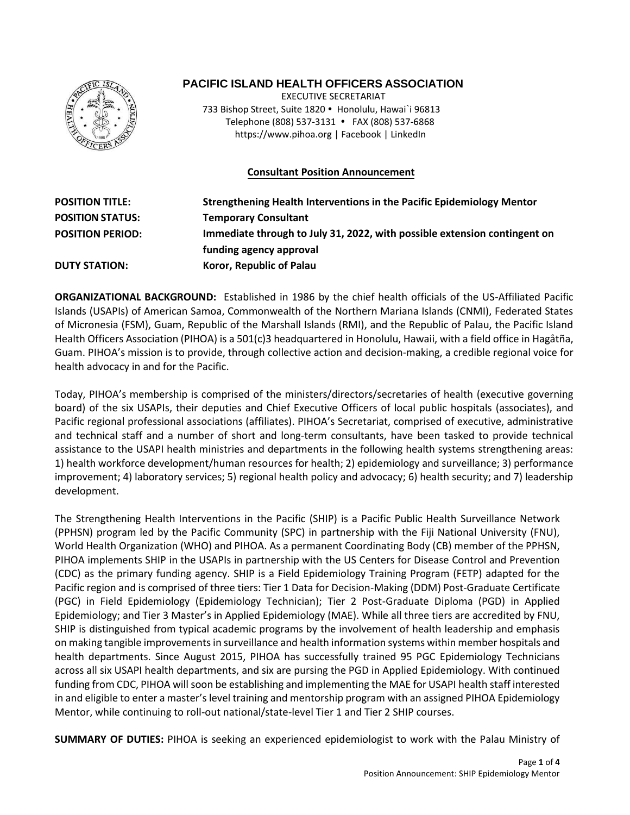

# **PACIFIC ISLAND HEALTH OFFICERS ASSOCIATION**

 EXECUTIVE SECRETARIAT 733 Bishop Street, Suite 1820 · Honolulu, Hawai`i 96813 Telephone (808) 537-3131 FAX (808) 537-6868 https:/[/www.pihoa.org](http://www.pihoa.org/) | Facebook | LinkedIn

# **Consultant Position Announcement**

| <b>POSITION TITLE:</b>  | Strengthening Health Interventions in the Pacific Epidemiology Mentor     |
|-------------------------|---------------------------------------------------------------------------|
| <b>POSITION STATUS:</b> | <b>Temporary Consultant</b>                                               |
| <b>POSITION PERIOD:</b> | Immediate through to July 31, 2022, with possible extension contingent on |
|                         | funding agency approval                                                   |
| <b>DUTY STATION:</b>    | Koror, Republic of Palau                                                  |

**ORGANIZATIONAL BACKGROUND:** Established in 1986 by the chief health officials of the US-Affiliated Pacific Islands (USAPIs) of American Samoa, Commonwealth of the Northern Mariana Islands (CNMI), Federated States of Micronesia (FSM), Guam, Republic of the Marshall Islands (RMI), and the Republic of Palau, the Pacific Island Health Officers Association (PIHOA) is a 501(c)3 headquartered in Honolulu, Hawaii, with a field office in Hagåtña, Guam. PIHOA's mission is to provide, through collective action and decision-making, a credible regional voice for health advocacy in and for the Pacific.

Today, PIHOA's membership is comprised of the ministers/directors/secretaries of health (executive governing board) of the six USAPIs, their deputies and Chief Executive Officers of local public hospitals (associates), and Pacific regional professional associations (affiliates). PIHOA's Secretariat, comprised of executive, administrative and technical staff and a number of short and long-term consultants, have been tasked to provide technical assistance to the USAPI health ministries and departments in the following health systems strengthening areas: 1) health workforce development/human resources for health; 2) epidemiology and surveillance; 3) performance improvement; 4) laboratory services; 5) regional health policy and advocacy; 6) health security; and 7) leadership development.

The Strengthening Health Interventions in the Pacific (SHIP) is a Pacific Public Health Surveillance Network (PPHSN) program led by the Pacific Community (SPC) in partnership with the Fiji National University (FNU), World Health Organization (WHO) and PIHOA. As a permanent Coordinating Body (CB) member of the PPHSN, PIHOA implements SHIP in the USAPIs in partnership with the US Centers for Disease Control and Prevention (CDC) as the primary funding agency. SHIP is a Field Epidemiology Training Program (FETP) adapted for the Pacific region and is comprised of three tiers: Tier 1 Data for Decision-Making (DDM) Post-Graduate Certificate (PGC) in Field Epidemiology (Epidemiology Technician); Tier 2 Post-Graduate Diploma (PGD) in Applied Epidemiology; and Tier 3 Master's in Applied Epidemiology (MAE). While all three tiers are accredited by FNU, SHIP is distinguished from typical academic programs by the involvement of health leadership and emphasis on making tangible improvements in surveillance and health information systems within member hospitals and health departments. Since August 2015, PIHOA has successfully trained 95 PGC Epidemiology Technicians across all six USAPI health departments, and six are pursing the PGD in Applied Epidemiology. With continued funding from CDC, PIHOA will soon be establishing and implementing the MAE for USAPI health staff interested in and eligible to enter a master's level training and mentorship program with an assigned PIHOA Epidemiology Mentor, while continuing to roll-out national/state-level Tier 1 and Tier 2 SHIP courses.

**SUMMARY OF DUTIES:** PIHOA is seeking an experienced epidemiologist to work with the Palau Ministry of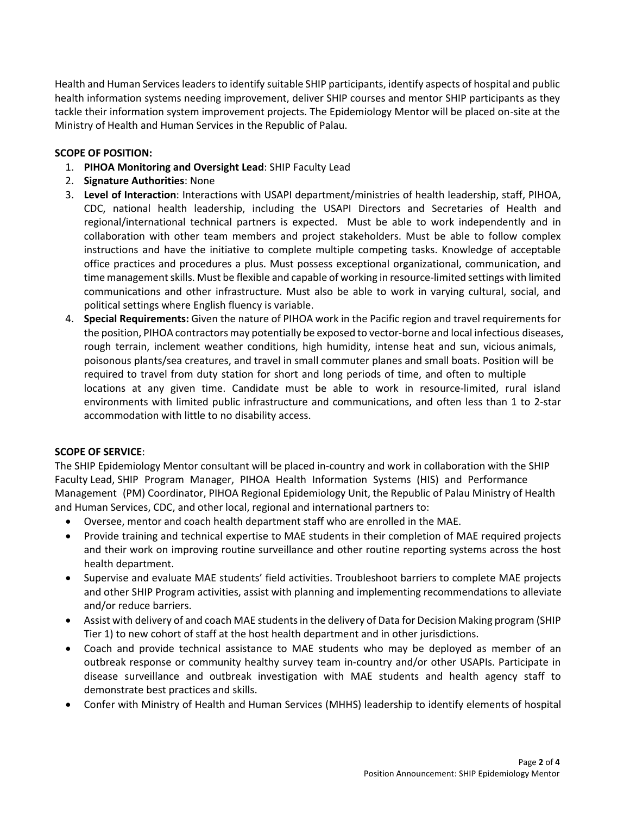Health and Human Services leaders to identify suitable SHIP participants, identify aspects of hospital and public health information systems needing improvement, deliver SHIP courses and mentor SHIP participants as they tackle their information system improvement projects. The Epidemiology Mentor will be placed on-site at the Ministry of Health and Human Services in the Republic of Palau.

#### **SCOPE OF POSITION:**

- 1. **PIHOA Monitoring and Oversight Lead**: SHIP Faculty Lead
- 2. **Signature Authorities**: None
- 3. **Level of Interaction**: Interactions with USAPI department/ministries of health leadership, staff, PIHOA, CDC, national health leadership, including the USAPI Directors and Secretaries of Health and regional/international technical partners is expected. Must be able to work independently and in collaboration with other team members and project stakeholders. Must be able to follow complex instructions and have the initiative to complete multiple competing tasks. Knowledge of acceptable office practices and procedures a plus. Must possess exceptional organizational, communication, and time management skills. Must be flexible and capable of working in resource-limited settings with limited communications and other infrastructure. Must also be able to work in varying cultural, social, and political settings where English fluency is variable.
- 4. **Special Requirements:** Given the nature of PIHOA work in the Pacific region and travel requirements for the position, PIHOA contractors may potentially be exposed to vector-borne and local infectious diseases, rough terrain, inclement weather conditions, high humidity, intense heat and sun, vicious animals, poisonous plants/sea creatures, and travel in small commuter planes and small boats. Position will be required to travel from duty station for short and long periods of time, and often to multiple locations at any given time. Candidate must be able to work in resource-limited, rural island environments with limited public infrastructure and communications, and often less than 1 to 2-star accommodation with little to no disability access.

#### **SCOPE OF SERVICE**:

The SHIP Epidemiology Mentor consultant will be placed in-country and work in collaboration with the SHIP Faculty Lead, SHIP Program Manager, PIHOA Health Information Systems (HIS) and Performance Management (PM) Coordinator, PIHOA Regional Epidemiology Unit, the Republic of Palau Ministry of Health and Human Services, CDC, and other local, regional and international partners to:

- Oversee, mentor and coach health department staff who are enrolled in the MAE.
- Provide training and technical expertise to MAE students in their completion of MAE required projects and their work on improving routine surveillance and other routine reporting systems across the host health department.
- Supervise and evaluate MAE students' field activities. Troubleshoot barriers to complete MAE projects and other SHIP Program activities, assist with planning and implementing recommendations to alleviate and/or reduce barriers.
- Assist with delivery of and coach MAE students in the delivery of Data for Decision Making program (SHIP Tier 1) to new cohort of staff at the host health department and in other jurisdictions.
- Coach and provide technical assistance to MAE students who may be deployed as member of an outbreak response or community healthy survey team in-country and/or other USAPIs. Participate in disease surveillance and outbreak investigation with MAE students and health agency staff to demonstrate best practices and skills.
- Confer with Ministry of Health and Human Services (MHHS) leadership to identify elements of hospital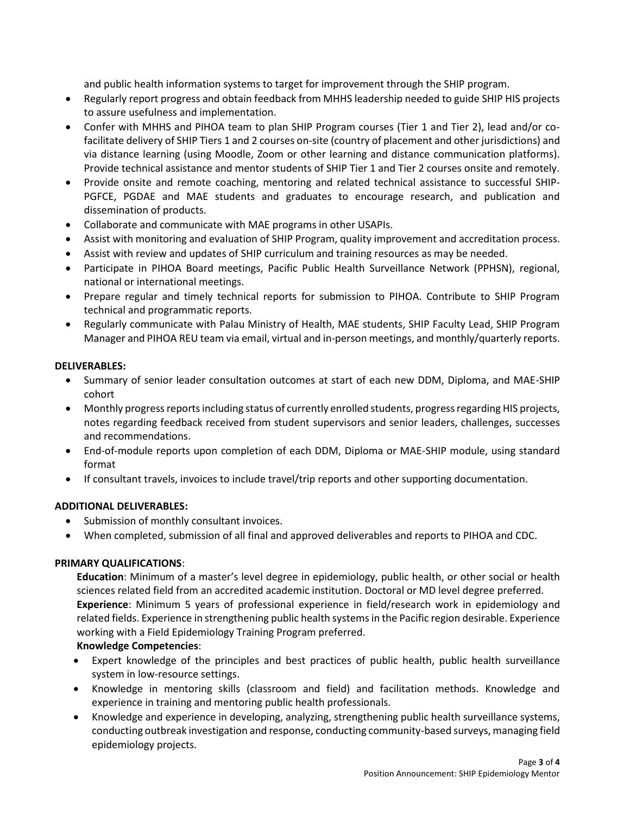and public health information systems to target for improvement through the SHIP program.

- Regularly report progress and obtain feedback from MHHS leadership needed to guide SHIP HIS projects to assure usefulness and implementation.
- Confer with MHHS and PIHOA team to plan SHIP Program courses (Tier 1 and Tier 2), lead and/or cofacilitate delivery of SHIP Tiers 1 and 2 courses on-site (country of placement and other jurisdictions) and via distance learning (using Moodle, Zoom or other learning and distance communication platforms). Provide technical assistance and mentor students of SHIP Tier 1 and Tier 2 courses onsite and remotely.
- Provide onsite and remote coaching, mentoring and related technical assistance to successful SHIP-PGFCE, PGDAE and MAE students and graduates to encourage research, and publication and dissemination of products.
- Collaborate and communicate with MAE programs in other USAPIs.
- Assist with monitoring and evaluation of SHIP Program, quality improvement and accreditation process.
- Assist with review and updates of SHIP curriculum and training resources as may be needed.
- Participate in PIHOA Board meetings, Pacific Public Health Surveillance Network (PPHSN), regional, national or international meetings.
- Prepare regular and timely technical reports for submission to PIHOA. Contribute to SHIP Program technical and programmatic reports.
- Regularly communicate with Palau Ministry of Health, MAE students, SHIP Faculty Lead, SHIP Program Manager and PIHOA REU team via email, virtual and in-person meetings, and monthly/quarterly reports.

## **DELIVERABLES:**

- Summary of senior leader consultation outcomes at start of each new DDM, Diploma, and MAE-SHIP cohort
- Monthly progress reports including status of currently enrolled students, progress regarding HIS projects, notes regarding feedback received from student supervisors and senior leaders, challenges, successes and recommendations.
- End-of-module reports upon completion of each DDM, Diploma or MAE-SHIP module, using standard format
- If consultant travels, invoices to include travel/trip reports and other supporting documentation.

## **ADDITIONAL DELIVERABLES:**

- Submission of monthly consultant invoices.
- When completed, submission of all final and approved deliverables and reports to PIHOA and CDC.

## **PRIMARY QUALIFICATIONS**:

**Education**: Minimum of a master's level degree in epidemiology, public health, or other social or health sciences related field from an accredited academic institution. Doctoral or MD level degree preferred. **Experience**: Minimum 5 years of professional experience in field/research work in epidemiology and related fields. Experience in strengthening public health systems in the Pacific region desirable. Experience working with a Field Epidemiology Training Program preferred.

## **Knowledge Competencies**:

- Expert knowledge of the principles and best practices of public health, public health surveillance system in low-resource settings.
- Knowledge in mentoring skills (classroom and field) and facilitation methods. Knowledge and experience in training and mentoring public health professionals.
- Knowledge and experience in developing, analyzing, strengthening public health surveillance systems, conducting outbreak investigation and response, conducting community-based surveys, managing field epidemiology projects.